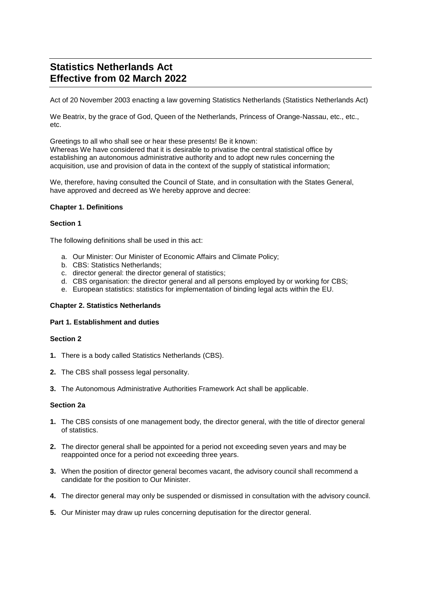# **Statistics Netherlands Act Effective from 02 March 2022**

Act of 20 November 2003 enacting a law governing Statistics Netherlands (Statistics Netherlands Act)

We Beatrix, by the grace of God, Queen of the Netherlands, Princess of Orange-Nassau, etc., etc., etc.

Greetings to all who shall see or hear these presents! Be it known: Whereas We have considered that it is desirable to privatise the central statistical office by establishing an autonomous administrative authority and to adopt new rules concerning the acquisition, use and provision of data in the context of the supply of statistical information;

We, therefore, having consulted the Council of State, and in consultation with the States General, have approved and decreed as We hereby approve and decree:

# **Chapter 1. Definitions**

### **Section 1**

The following definitions shall be used in this act:

- a. Our Minister: Our Minister of Economic Affairs and Climate Policy;
- b. CBS: Statistics Netherlands;
- c. director general: the director general of statistics;
- d. CBS organisation: the director general and all persons employed by or working for CBS;
- e. European statistics: statistics for implementation of binding legal acts within the EU.

# **Chapter 2. Statistics Netherlands**

### **Part 1. Establishment and duties**

# **Section 2**

- **1.** There is a body called Statistics Netherlands (CBS).
- **2.** The CBS shall possess legal personality.
- **3.** The Autonomous Administrative Authorities Framework Act shall be applicable.

# **Section 2a**

- **1.** The CBS consists of one management body, the director general, with the title of director general of statistics.
- **2.** The director general shall be appointed for a period not exceeding seven years and may be reappointed once for a period not exceeding three years.
- **3.** When the position of director general becomes vacant, the advisory council shall recommend a candidate for the position to Our Minister.
- **4.** The director general may only be suspended or dismissed in consultation with the advisory council.
- **5.** Our Minister may draw up rules concerning deputisation for the director general.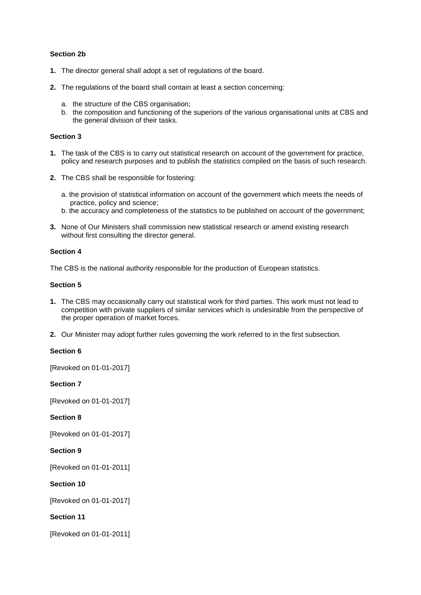# **Section 2b**

- **1.** The director general shall adopt a set of regulations of the board.
- **2.** The regulations of the board shall contain at least a section concerning:
	- a. the structure of the CBS organisation;
	- b. the composition and functioning of the superiors of the various organisational units at CBS and the general division of their tasks.

### **Section 3**

- **1.** The task of the CBS is to carry out statistical research on account of the government for practice, policy and research purposes and to publish the statistics compiled on the basis of such research.
- **2.** The CBS shall be responsible for fostering:
	- a. the provision of statistical information on account of the government which meets the needs of practice, policy and science;
	- b. the accuracy and completeness of the statistics to be published on account of the government;
- **3.** None of Our Ministers shall commission new statistical research or amend existing research without first consulting the director general.

### **Section 4**

The CBS is the national authority responsible for the production of European statistics.

# **Section 5**

- **1.** The CBS may occasionally carry out statistical work for third parties. This work must not lead to competition with private suppliers of similar services which is undesirable from the perspective of the proper operation of market forces.
- **2.** Our Minister may adopt further rules governing the work referred to in the first subsection.

# **Section 6**

[Revoked on 01-01-2017]

**Section 7**

[Revoked on 01-01-2017]

**Section 8**

[Revoked on 01-01-2017]

**Section 9**

[Revoked on 01-01-2011]

**Section 10**

[Revoked on 01-01-2017]

**Section 11**

[Revoked on 01-01-2011]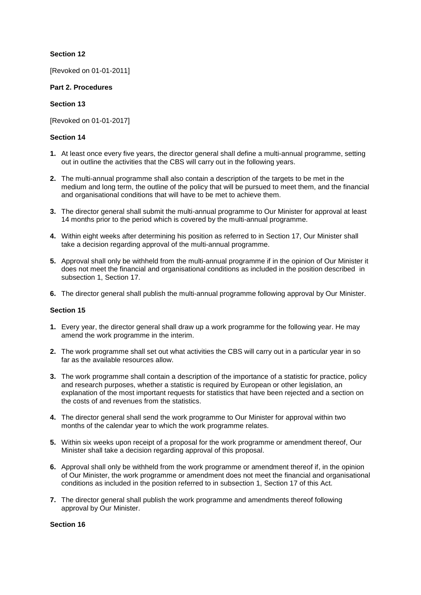# **Section 12**

[Revoked on 01-01-2011]

# **Part 2. Procedures**

# **Section 13**

[Revoked on 01-01-2017]

# **Section 14**

- **1.** At least once every five years, the director general shall define a multi-annual programme, setting out in outline the activities that the CBS will carry out in the following years.
- **2.** The multi-annual programme shall also contain a description of the targets to be met in the medium and long term, the outline of the policy that will be pursued to meet them, and the financial and organisational conditions that will have to be met to achieve them.
- **3.** The director general shall submit the multi-annual programme to Our Minister for approval at least 14 months prior to the period which is covered by the multi-annual programme.
- **4.** Within eight weeks after determining his position as referred to in Section 17, Our Minister shall take a decision regarding approval of the multi-annual programme.
- **5.** Approval shall only be withheld from the multi-annual programme if in the opinion of Our Minister it does not meet the financial and organisational conditions as included in the position described in subsection 1, Section 17.
- **6.** The director general shall publish the multi-annual programme following approval by Our Minister.

# **Section 15**

- **1.** Every year, the director general shall draw up a work programme for the following year. He may amend the work programme in the interim.
- **2.** The work programme shall set out what activities the CBS will carry out in a particular year in so far as the available resources allow.
- **3.** The work programme shall contain a description of the importance of a statistic for practice, policy and research purposes, whether a statistic is required by European or other legislation, an explanation of the most important requests for statistics that have been rejected and a section on the costs of and revenues from the statistics.
- **4.** The director general shall send the work programme to Our Minister for approval within two months of the calendar year to which the work programme relates.
- **5.** Within six weeks upon receipt of a proposal for the work programme or amendment thereof, Our Minister shall take a decision regarding approval of this proposal.
- **6.** Approval shall only be withheld from the work programme or amendment thereof if, in the opinion of Our Minister, the work programme or amendment does not meet the financial and organisational conditions as included in the position referred to in subsection 1, Section 17 of this Act.
- **7.** The director general shall publish the work programme and amendments thereof following approval by Our Minister.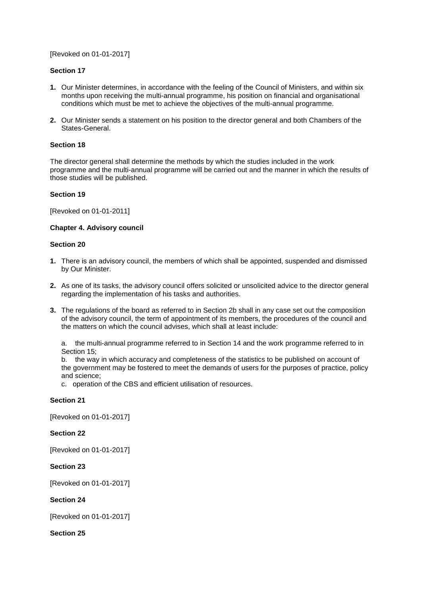[Revoked on 01-01-2017]

# **Section 17**

- **1.** Our Minister determines, in accordance with the feeling of the Council of Ministers, and within six months upon receiving the multi-annual programme, his position on financial and organisational conditions which must be met to achieve the objectives of the multi-annual programme.
- **2.** Our Minister sends a statement on his position to the director general and both Chambers of the States-General.

### **Section 18**

The director general shall determine the methods by which the studies included in the work programme and the multi-annual programme will be carried out and the manner in which the results of those studies will be published.

### **Section 19**

[Revoked on 01-01-2011]

# **Chapter 4. Advisory council**

### **Section 20**

- **1.** There is an advisory council, the members of which shall be appointed, suspended and dismissed by Our Minister.
- **2.** As one of its tasks, the advisory council offers solicited or unsolicited advice to the director general regarding the implementation of his tasks and authorities.
- **3.** The regulations of the board as referred to in Section 2b shall in any case set out the composition of the advisory council, the term of appointment of its members, the procedures of the council and the matters on which the council advises, which shall at least include:

a. the multi-annual programme referred to in Section 14 and the work programme referred to in Section 15;

b. the way in which accuracy and completeness of the statistics to be published on account of the government may be fostered to meet the demands of users for the purposes of practice, policy and science;

c. operation of the CBS and efficient utilisation of resources.

#### **Section 21**

[Revoked on 01-01-2017]

#### **Section 22**

[Revoked on 01-01-2017]

#### **Section 23**

[Revoked on 01-01-2017]

# **Section 24**

[Revoked on 01-01-2017]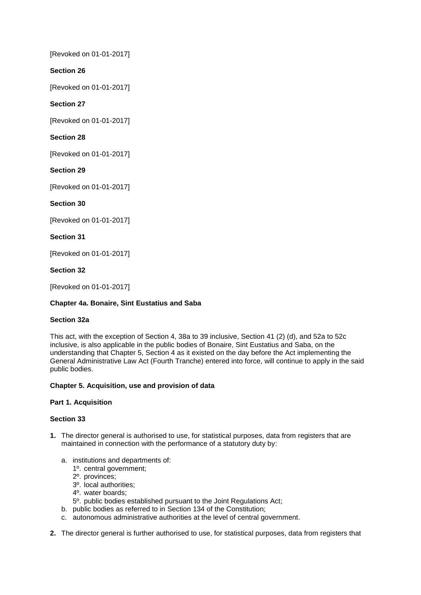[Revoked on 01-01-2017]

# **Section 26**

[Revoked on 01-01-2017]

# **Section 27**

[Revoked on 01-01-2017]

# **Section 28**

[Revoked on 01-01-2017]

# **Section 29**

[Revoked on 01-01-2017]

# **Section 30**

[Revoked on 01-01-2017]

# **Section 31**

[Revoked on 01-01-2017]

# **Section 32**

[Revoked on 01-01-2017]

# **Chapter 4a. Bonaire, Sint Eustatius and Saba**

# **Section 32a**

This act, with the exception of Section 4, 38a to 39 inclusive, Section 41 (2) (d), and 52a to 52c inclusive, is also applicable in the public bodies of Bonaire, Sint Eustatius and Saba, on the understanding that Chapter 5, Section 4 as it existed on the day before the Act implementing the General Administrative Law Act (Fourth Tranche) entered into force, will continue to apply in the said public bodies.

# **Chapter 5. Acquisition, use and provision of data**

# **Part 1. Acquisition**

- **1.** The director general is authorised to use, for statistical purposes, data from registers that are maintained in connection with the performance of a statutory duty by:
	- a. institutions and departments of:
		- 1º. central government;
		- 2º. provinces;
		- 3º. local authorities;
		- 4º. water boards;
		- 5º. public bodies established pursuant to the Joint Regulations Act;
	- b. public bodies as referred to in Section 134 of the Constitution;
	- c. autonomous administrative authorities at the level of central government.
- **2.** The director general is further authorised to use, for statistical purposes, data from registers that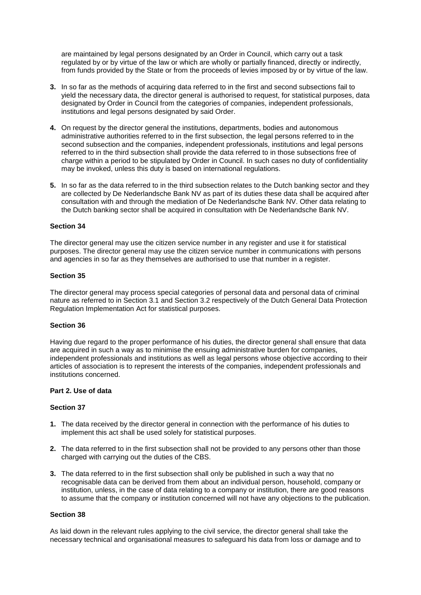are maintained by legal persons designated by an Order in Council, which carry out a task regulated by or by virtue of the law or which are wholly or partially financed, directly or indirectly, from funds provided by the State or from the proceeds of levies imposed by or by virtue of the law.

- **3.** In so far as the methods of acquiring data referred to in the first and second subsections fail to yield the necessary data, the director general is authorised to request, for statistical purposes, data designated by Order in Council from the categories of companies, independent professionals, institutions and legal persons designated by said Order.
- **4.** On request by the director general the institutions, departments, bodies and autonomous administrative authorities referred to in the first subsection, the legal persons referred to in the second subsection and the companies, independent professionals, institutions and legal persons referred to in the third subsection shall provide the data referred to in those subsections free of charge within a period to be stipulated by Order in Council. In such cases no duty of confidentiality may be invoked, unless this duty is based on international regulations.
- **5.** In so far as the data referred to in the third subsection relates to the Dutch banking sector and they are collected by De Nederlandsche Bank NV as part of its duties these data shall be acquired after consultation with and through the mediation of De Nederlandsche Bank NV. Other data relating to the Dutch banking sector shall be acquired in consultation with De Nederlandsche Bank NV.

#### **Section 34**

The director general may use the citizen service number in any register and use it for statistical purposes. The director general may use the citizen service number in communications with persons and agencies in so far as they themselves are authorised to use that number in a register.

#### **Section 35**

The director general may process special categories of personal data and personal data of criminal nature as referred to in Section 3.1 and Section 3.2 respectively of the Dutch General Data Protection Regulation Implementation Act for statistical purposes.

#### **Section 36**

Having due regard to the proper performance of his duties, the director general shall ensure that data are acquired in such a way as to minimise the ensuing administrative burden for companies, independent professionals and institutions as well as legal persons whose objective according to their articles of association is to represent the interests of the companies, independent professionals and institutions concerned.

#### **Part 2. Use of data**

#### **Section 37**

- **1.** The data received by the director general in connection with the performance of his duties to implement this act shall be used solely for statistical purposes.
- **2.** The data referred to in the first subsection shall not be provided to any persons other than those charged with carrying out the duties of the CBS.
- **3.** The data referred to in the first subsection shall only be published in such a way that no recognisable data can be derived from them about an individual person, household, company or institution, unless, in the case of data relating to a company or institution, there are good reasons to assume that the company or institution concerned will not have any objections to the publication.

### **Section 38**

As laid down in the relevant rules applying to the civil service, the director general shall take the necessary technical and organisational measures to safeguard his data from loss or damage and to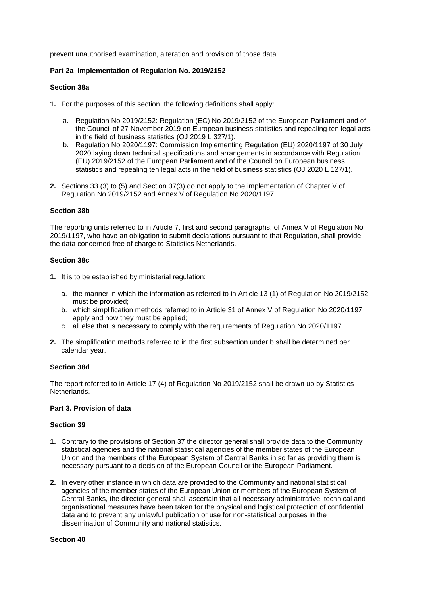prevent unauthorised examination, alteration and provision of those data.

# **Part 2a Implementation of Regulation No. 2019/2152**

#### **Section 38a**

- **1.** For the purposes of this section, the following definitions shall apply:
	- a. Regulation No 2019/2152: Regulation (EC) No 2019/2152 of the European Parliament and of the Council of 27 November 2019 on European business statistics and repealing ten legal acts in the field of business statistics (OJ 2019 L 327/1).
	- b. Regulation No 2020/1197: Commission Implementing Regulation (EU) 2020/1197 of 30 July 2020 laying down technical specifications and arrangements in accordance with Regulation (EU) 2019/2152 of the European Parliament and of the Council on European business statistics and repealing ten legal acts in the field of business statistics (OJ 2020 L 127/1).
- **2.** Sections 33 (3) to (5) and Section 37(3) do not apply to the implementation of Chapter V of Regulation No 2019/2152 and Annex V of Regulation No 2020/1197.

### **Section 38b**

The reporting units referred to in Article 7, first and second paragraphs, of Annex V of Regulation No 2019/1197, who have an obligation to submit declarations pursuant to that Regulation, shall provide the data concerned free of charge to Statistics Netherlands.

### **Section 38c**

- **1.** It is to be established by ministerial regulation:
	- a. the manner in which the information as referred to in Article 13 (1) of Regulation No 2019/2152 must be provided;
	- b. which simplification methods referred to in Article 31 of Annex V of Regulation No 2020/1197 apply and how they must be applied;
	- c. all else that is necessary to comply with the requirements of Regulation No 2020/1197.
- **2.** The simplification methods referred to in the first subsection under b shall be determined per calendar year.

#### **Section 38d**

The report referred to in Article 17 (4) of Regulation No 2019/2152 shall be drawn up by Statistics Netherlands.

# **Part 3. Provision of data**

#### **Section 39**

- **1.** Contrary to the provisions of Section 37 the director general shall provide data to the Community statistical agencies and the national statistical agencies of the member states of the European Union and the members of the European System of Central Banks in so far as providing them is necessary pursuant to a decision of the European Council or the European Parliament.
- **2.** In every other instance in which data are provided to the Community and national statistical agencies of the member states of the European Union or members of the European System of Central Banks, the director general shall ascertain that all necessary administrative, technical and organisational measures have been taken for the physical and logistical protection of confidential data and to prevent any unlawful publication or use for non-statistical purposes in the dissemination of Community and national statistics.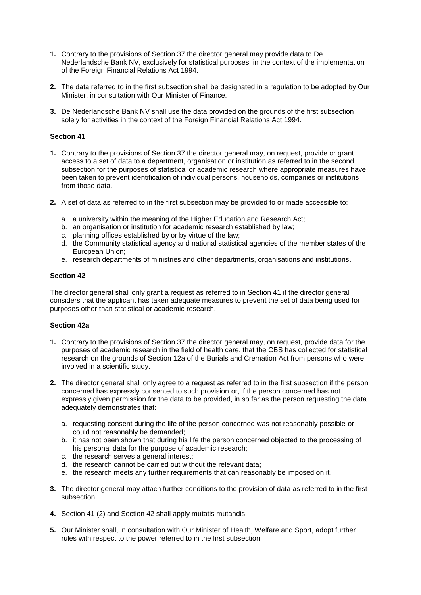- **1.** Contrary to the provisions of Section 37 the director general may provide data to De Nederlandsche Bank NV, exclusively for statistical purposes, in the context of the implementation of the Foreign Financial Relations Act 1994.
- **2.** The data referred to in the first subsection shall be designated in a regulation to be adopted by Our Minister, in consultation with Our Minister of Finance.
- **3.** De Nederlandsche Bank NV shall use the data provided on the grounds of the first subsection solely for activities in the context of the Foreign Financial Relations Act 1994.

#### **Section 41**

- **1.** Contrary to the provisions of Section 37 the director general may, on request, provide or grant access to a set of data to a department, organisation or institution as referred to in the second subsection for the purposes of statistical or academic research where appropriate measures have been taken to prevent identification of individual persons, households, companies or institutions from those data.
- **2.** A set of data as referred to in the first subsection may be provided to or made accessible to:
	- a. a university within the meaning of the Higher Education and Research Act;
	- b. an organisation or institution for academic research established by law;
	- c. planning offices established by or by virtue of the law;
	- d. the Community statistical agency and national statistical agencies of the member states of the European Union;
	- e. research departments of ministries and other departments, organisations and institutions.

#### **Section 42**

The director general shall only grant a request as referred to in Section 41 if the director general considers that the applicant has taken adequate measures to prevent the set of data being used for purposes other than statistical or academic research.

#### **Section 42a**

- **1.** Contrary to the provisions of Section 37 the director general may, on request, provide data for the purposes of academic research in the field of health care, that the CBS has collected for statistical research on the grounds of Section 12a of the Burials and Cremation Act from persons who were involved in a scientific study.
- **2.** The director general shall only agree to a request as referred to in the first subsection if the person concerned has expressly consented to such provision or, if the person concerned has not expressly given permission for the data to be provided, in so far as the person requesting the data adequately demonstrates that:
	- a. requesting consent during the life of the person concerned was not reasonably possible or could not reasonably be demanded;
	- b. it has not been shown that during his life the person concerned objected to the processing of his personal data for the purpose of academic research;
	- c. the research serves a general interest;
	- d. the research cannot be carried out without the relevant data;
	- e. the research meets any further requirements that can reasonably be imposed on it.
- **3.** The director general may attach further conditions to the provision of data as referred to in the first subsection.
- **4.** Section 41 (2) and Section 42 shall apply mutatis mutandis.
- **5.** Our Minister shall, in consultation with Our Minister of Health, Welfare and Sport, adopt further rules with respect to the power referred to in the first subsection.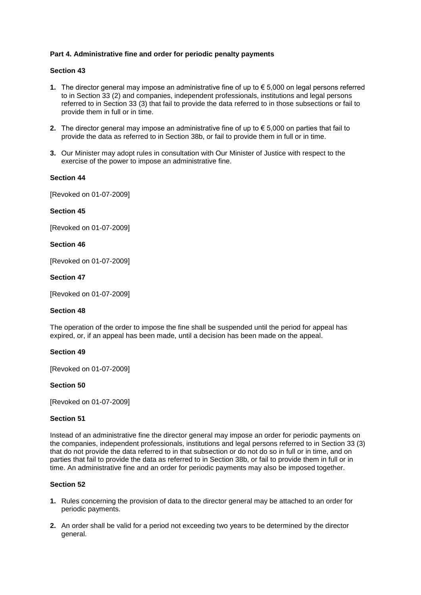# **Part 4. Administrative fine and order for periodic penalty payments**

# **Section 43**

- **1.** The director general may impose an administrative fine of up to € 5,000 on legal persons referred to in Section 33 (2) and companies, independent professionals, institutions and legal persons referred to in Section 33 (3) that fail to provide the data referred to in those subsections or fail to provide them in full or in time.
- **2.** The director general may impose an administrative fine of up to  $\epsilon$  5,000 on parties that fail to provide the data as referred to in Section 38b, or fail to provide them in full or in time.
- **3.** Our Minister may adopt rules in consultation with Our Minister of Justice with respect to the exercise of the power to impose an administrative fine.

#### **Section 44**

[Revoked on 01-07-2009]

### **Section 45**

[Revoked on 01-07-2009]

### **Section 46**

[Revoked on 01-07-2009]

### **Section 47**

[Revoked on 01-07-2009]

#### **Section 48**

The operation of the order to impose the fine shall be suspended until the period for appeal has expired, or, if an appeal has been made, until a decision has been made on the appeal.

#### **Section 49**

[Revoked on 01-07-2009]

### **Section 50**

[Revoked on 01-07-2009]

#### **Section 51**

Instead of an administrative fine the director general may impose an order for periodic payments on the companies, independent professionals, institutions and legal persons referred to in Section 33 (3) that do not provide the data referred to in that subsection or do not do so in full or in time, and on parties that fail to provide the data as referred to in Section 38b, or fail to provide them in full or in time. An administrative fine and an order for periodic payments may also be imposed together.

- **1.** Rules concerning the provision of data to the director general may be attached to an order for periodic payments.
- **2.** An order shall be valid for a period not exceeding two years to be determined by the director general.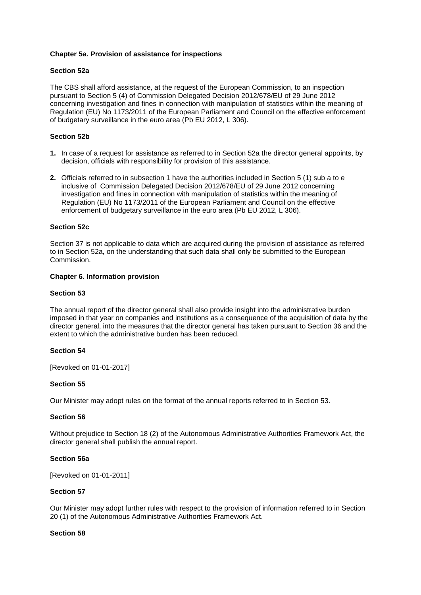# **Chapter 5a. Provision of assistance for inspections**

### **Section 52a**

The CBS shall afford assistance, at the request of the European Commission, to an inspection pursuant to Section 5 (4) of Commission Delegated Decision 2012/678/EU of 29 June 2012 concerning investigation and fines in connection with manipulation of statistics within the meaning of Regulation (EU) No 1173/2011 of the European Parliament and Council on the effective enforcement of budgetary surveillance in the euro area (Pb EU 2012, L 306).

# **Section 52b**

- **1.** In case of a request for assistance as referred to in Section 52a the director general appoints, by decision, officials with responsibility for provision of this assistance.
- **2.** Officials referred to in subsection 1 have the authorities included in Section 5 (1) sub a to e inclusive of Commission Delegated Decision 2012/678/EU of 29 June 2012 concerning investigation and fines in connection with manipulation of statistics within the meaning of Regulation (EU) No 1173/2011 of the European Parliament and Council on the effective enforcement of budgetary surveillance in the euro area (Pb EU 2012, L 306).

#### **Section 52c**

Section 37 is not applicable to data which are acquired during the provision of assistance as referred to in Section 52a, on the understanding that such data shall only be submitted to the European Commission.

#### **Chapter 6. Information provision**

#### **Section 53**

The annual report of the director general shall also provide insight into the administrative burden imposed in that year on companies and institutions as a consequence of the acquisition of data by the director general, into the measures that the director general has taken pursuant to Section 36 and the extent to which the administrative burden has been reduced.

#### **Section 54**

[Revoked on 01-01-2017]

# **Section 55**

Our Minister may adopt rules on the format of the annual reports referred to in Section 53.

# **Section 56**

Without prejudice to Section 18 (2) of the Autonomous Administrative Authorities Framework Act, the director general shall publish the annual report.

#### **Section 56a**

[Revoked on 01-01-2011]

#### **Section 57**

Our Minister may adopt further rules with respect to the provision of information referred to in Section 20 (1) of the Autonomous Administrative Authorities Framework Act.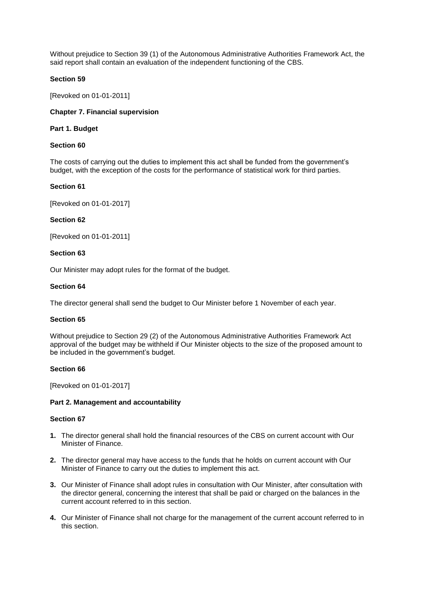Without prejudice to Section 39 (1) of the Autonomous Administrative Authorities Framework Act, the said report shall contain an evaluation of the independent functioning of the CBS.

# **Section 59**

[Revoked on 01-01-2011]

# **Chapter 7. Financial supervision**

#### **Part 1. Budget**

# **Section 60**

The costs of carrying out the duties to implement this act shall be funded from the government's budget, with the exception of the costs for the performance of statistical work for third parties.

### **Section 61**

[Revoked on 01-01-2017]

#### **Section 62**

[Revoked on 01-01-2011]

### **Section 63**

Our Minister may adopt rules for the format of the budget.

### **Section 64**

The director general shall send the budget to Our Minister before 1 November of each year.

#### **Section 65**

Without prejudice to Section 29 (2) of the Autonomous Administrative Authorities Framework Act approval of the budget may be withheld if Our Minister objects to the size of the proposed amount to be included in the government's budget.

#### **Section 66**

[Revoked on 01-01-2017]

#### **Part 2. Management and accountability**

- **1.** The director general shall hold the financial resources of the CBS on current account with Our Minister of Finance.
- **2.** The director general may have access to the funds that he holds on current account with Our Minister of Finance to carry out the duties to implement this act.
- **3.** Our Minister of Finance shall adopt rules in consultation with Our Minister, after consultation with the director general, concerning the interest that shall be paid or charged on the balances in the current account referred to in this section.
- **4.** Our Minister of Finance shall not charge for the management of the current account referred to in this section.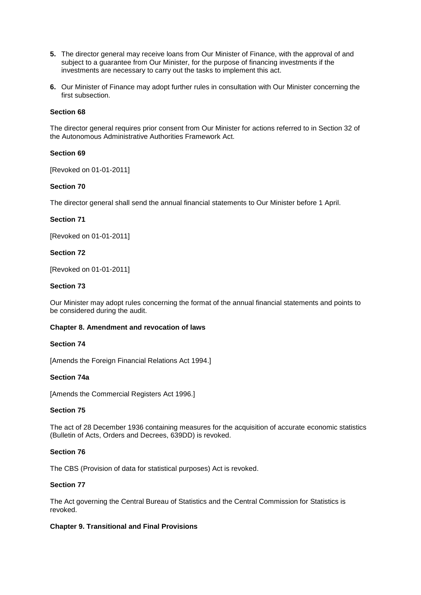- **5.** The director general may receive loans from Our Minister of Finance, with the approval of and subject to a guarantee from Our Minister, for the purpose of financing investments if the investments are necessary to carry out the tasks to implement this act.
- **6.** Our Minister of Finance may adopt further rules in consultation with Our Minister concerning the first subsection.

# **Section 68**

The director general requires prior consent from Our Minister for actions referred to in Section 32 of the Autonomous Administrative Authorities Framework Act.

# **Section 69**

[Revoked on 01-01-2011]

### **Section 70**

The director general shall send the annual financial statements to Our Minister before 1 April.

### **Section 71**

[Revoked on 01-01-2011]

### **Section 72**

[Revoked on 01-01-2011]

#### **Section 73**

Our Minister may adopt rules concerning the format of the annual financial statements and points to be considered during the audit.

#### **Chapter 8. Amendment and revocation of laws**

### **Section 74**

[Amends the Foreign Financial Relations Act 1994.]

#### **Section 74a**

[Amends the Commercial Registers Act 1996.]

#### **Section 75**

The act of 28 December 1936 containing measures for the acquisition of accurate economic statistics (Bulletin of Acts, Orders and Decrees, 639DD) is revoked.

#### **Section 76**

The CBS (Provision of data for statistical purposes) Act is revoked.

# **Section 77**

The Act governing the Central Bureau of Statistics and the Central Commission for Statistics is revoked.

#### **Chapter 9. Transitional and Final Provisions**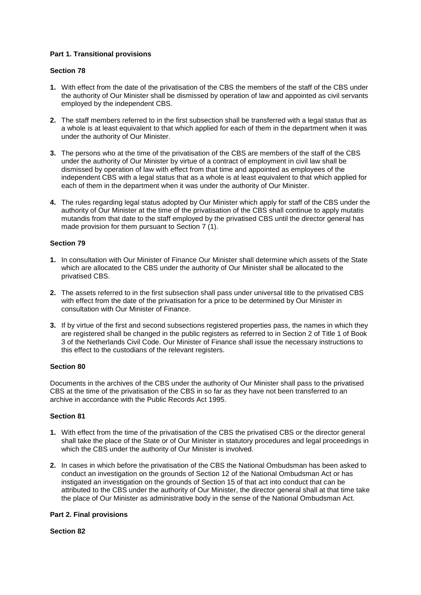# **Part 1. Transitional provisions**

# **Section 78**

- **1.** With effect from the date of the privatisation of the CBS the members of the staff of the CBS under the authority of Our Minister shall be dismissed by operation of law and appointed as civil servants employed by the independent CBS.
- **2.** The staff members referred to in the first subsection shall be transferred with a legal status that as a whole is at least equivalent to that which applied for each of them in the department when it was under the authority of Our Minister.
- **3.** The persons who at the time of the privatisation of the CBS are members of the staff of the CBS under the authority of Our Minister by virtue of a contract of employment in civil law shall be dismissed by operation of law with effect from that time and appointed as employees of the independent CBS with a legal status that as a whole is at least equivalent to that which applied for each of them in the department when it was under the authority of Our Minister.
- **4.** The rules regarding legal status adopted by Our Minister which apply for staff of the CBS under the authority of Our Minister at the time of the privatisation of the CBS shall continue to apply mutatis mutandis from that date to the staff employed by the privatised CBS until the director general has made provision for them pursuant to Section 7 (1).

# **Section 79**

- **1.** In consultation with Our Minister of Finance Our Minister shall determine which assets of the State which are allocated to the CBS under the authority of Our Minister shall be allocated to the privatised CBS.
- **2.** The assets referred to in the first subsection shall pass under universal title to the privatised CBS with effect from the date of the privatisation for a price to be determined by Our Minister in consultation with Our Minister of Finance.
- **3.** If by virtue of the first and second subsections registered properties pass, the names in which they are registered shall be changed in the public registers as referred to in Section 2 of Title 1 of Book 3 of the Netherlands Civil Code. Our Minister of Finance shall issue the necessary instructions to this effect to the custodians of the relevant registers.

# **Section 80**

Documents in the archives of the CBS under the authority of Our Minister shall pass to the privatised CBS at the time of the privatisation of the CBS in so far as they have not been transferred to an archive in accordance with the Public Records Act 1995.

# **Section 81**

- **1.** With effect from the time of the privatisation of the CBS the privatised CBS or the director general shall take the place of the State or of Our Minister in statutory procedures and legal proceedings in which the CBS under the authority of Our Minister is involved.
- **2.** In cases in which before the privatisation of the CBS the National Ombudsman has been asked to conduct an investigation on the grounds of Section 12 of the National Ombudsman Act or has instigated an investigation on the grounds of Section 15 of that act into conduct that can be attributed to the CBS under the authority of Our Minister, the director general shall at that time take the place of Our Minister as administrative body in the sense of the National Ombudsman Act.

# **Part 2. Final provisions**